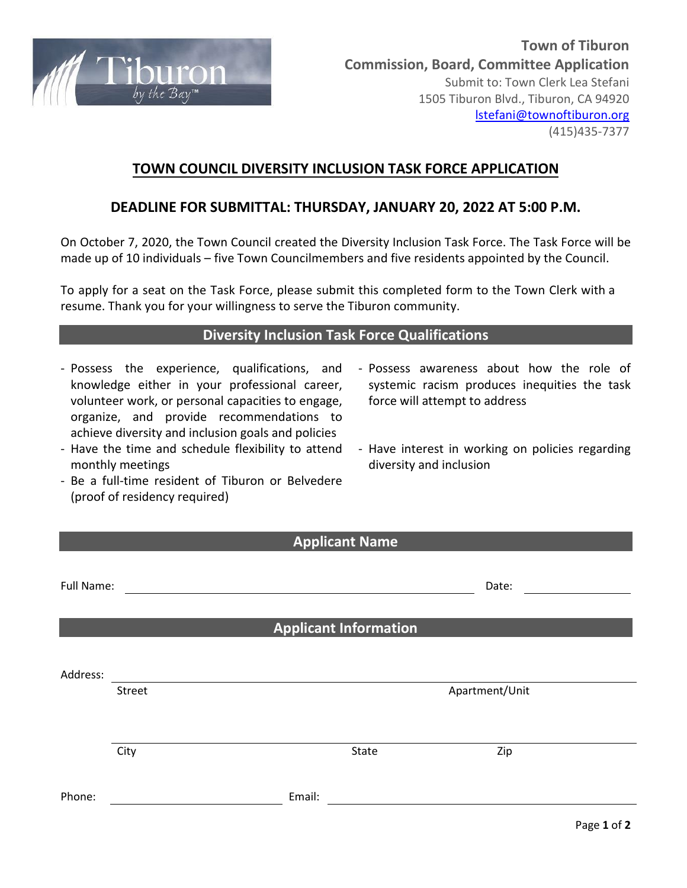

## **TOWN COUNCIL DIVERSITY INCLUSION TASK FORCE APPLICATION**

### **DEADLINE FOR SUBMITTAL: THURSDAY, JANUARY 20, 2022 AT 5:00 P.M.**

On October 7, 2020, the Town Council created the Diversity Inclusion Task Force. The Task Force will be made up of 10 individuals – five Town Councilmembers and five residents appointed by the Council.

To apply for a seat on the Task Force, please submit this completed form to the Town Clerk with a resume. Thank you for your willingness to serve the Tiburon community.

#### **Diversity Inclusion Task Force Qualifications**

- Possess the experience, qualifications, and knowledge either in your professional career, volunteer work, or personal capacities to engage, organize, and provide recommendations to achieve diversity and inclusion goals and policies
- Have the time and schedule flexibility to attend monthly meetings
- Be a full-time resident of Tiburon or Belvedere (proof of residency required)
- Possess awareness about how the role of systemic racism produces inequities the task force will attempt to address
- Have interest in working on policies regarding diversity and inclusion

| <b>Applicant Name</b> |        |        |                              |                |             |
|-----------------------|--------|--------|------------------------------|----------------|-------------|
| Full Name:            |        |        | Date:                        |                |             |
|                       |        |        | <b>Applicant Information</b> |                |             |
| Address:              | Street |        |                              | Apartment/Unit |             |
|                       | City   |        | State                        | Zip            |             |
| Phone:                |        | Email: |                              |                | Page 1 of 2 |